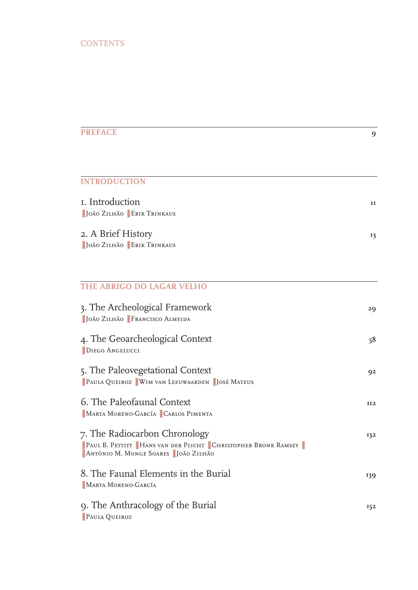| <b>PREFACE</b>                                                                                                                         | 9          |
|----------------------------------------------------------------------------------------------------------------------------------------|------------|
|                                                                                                                                        |            |
| <b>INTRODUCTION</b>                                                                                                                    |            |
| I. Introduction<br><b>JOÃO ZILHÃO ERIK TRINKAUS</b>                                                                                    | п          |
| 2. A Brief History<br><b>I</b> JOÃO ZILHÃO ERIK TRINKAUS                                                                               | 13         |
| THE ABRIGO DO LAGAR VELHO                                                                                                              |            |
| 3. The Archeological Framework<br>  JOÃO ZILHÃO   FRANCISCO ALMEIDA                                                                    | 29         |
| 4. The Geoarcheological Context<br><b>DIEGO ANGELUCCI</b>                                                                              | 58         |
| 5. The Paleovegetational Context<br><b>PAULA QUEIROZ WIM VAN LEEUWAARDEN   JOSÉ MATEUS</b>                                             | 92         |
| 6. The Paleofaunal Context<br>MARTA MORENO-GARCÍA CARLOS PIMENTA                                                                       | <b>II2</b> |
| 7. The Radiocarbon Chronology<br>PAUL B. PETTITT HANS VAN DER PLICHT CHRISTOPHER BRONK RAMSEY<br>ANTÓNIO M. MONGE SOARES   JOÃO ZILHÃO | 132        |
| 8. The Faunal Elements in the Burial<br>MARTA MORENO-GARCÍA                                                                            | 139        |
| 9. The Anthracology of the Burial<br>PAULA QUEIROZ                                                                                     | 152        |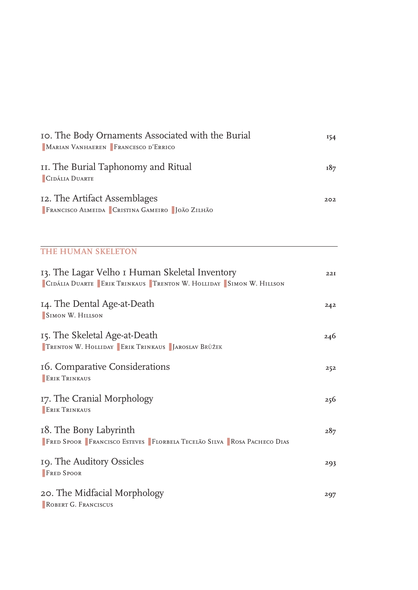| Io. The Body Ornaments Associated with the Burial<br>MARIAN VANHAEREN FRANCESCO D'ERRICO | 154 |
|------------------------------------------------------------------------------------------|-----|
| II. The Burial Taphonomy and Ritual<br>CIDÁLIA DUARTE                                    | 187 |
| 12. The Artifact Assemblages<br><b>FRANCISCO ALMEIDA CRISTINA GAMEIRO   JOÃO ZILHÃO</b>  | 202 |
|                                                                                          |     |

| 13. The Lagar Velho I Human Skeletal Inventory<br>CIDÁLIA DUARTE ERIK TRINKAUS TRENTON W. HOLLIDAY SIMON W. HILLSON | 22I |
|---------------------------------------------------------------------------------------------------------------------|-----|
| 14. The Dental Age-at-Death<br>SIMON W. HILLSON                                                                     | 242 |
| 15. The Skeletal Age-at-Death<br><b>TRENTON W. HOLLIDAY ERIK TRINKAUS   JAROSLAV BRŮŽEK</b>                         | 246 |
| 16. Comparative Considerations<br><b>ERIK TRINKAUS</b>                                                              | 252 |
| 17. The Cranial Morphology<br><b>ERIK TRINKAUS</b>                                                                  | 256 |
| 18. The Bony Labyrinth<br>FRED SPOOR FRANCISCO ESTEVES FLORBELA TECELÃO SILVA ROSA PACHECO DIAS                     | 287 |
| 19. The Auditory Ossicles<br><b>FRED SPOOR</b>                                                                      | 293 |
| 20. The Midfacial Morphology<br>ROBERT G. FRANCISCUS                                                                | 297 |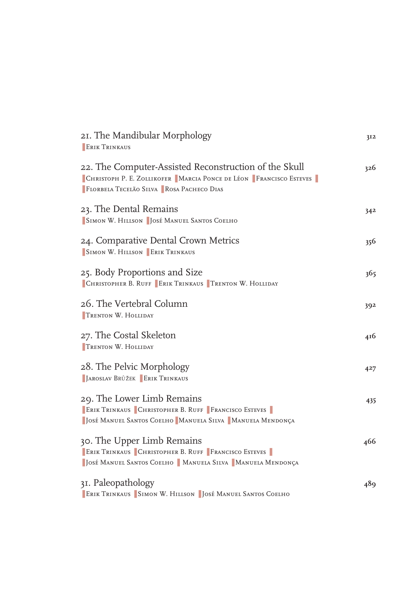| 21. The Mandibular Morphology<br><b>ERIK TRINKAUS</b>                                                                                                                             | 3I2 |
|-----------------------------------------------------------------------------------------------------------------------------------------------------------------------------------|-----|
| 22. The Computer-Assisted Reconstruction of the Skull<br>CHRISTOPH P. E. ZOLLIKOFER MARCIA PONCE DE LÉON FRANCISCO ESTEVES<br><b>E FLORBELA TECELÃO SILVA E ROSA PACHECO DIAS</b> | 326 |
| 23. The Dental Remains<br>SIMON W. HILLSON   JOSÉ MANUEL SANTOS COELHO                                                                                                            | 342 |
| 24. Comparative Dental Crown Metrics<br>SIMON W. HILLSON ERIK TRINKAUS                                                                                                            | 356 |
| 25. Body Proportions and Size<br>CHRISTOPHER B. RUFF ERIK TRINKAUS TRENTON W. HOLLIDAY                                                                                            | 365 |
| 26. The Vertebral Column<br><b>TRENTON W. HOLLIDAY</b>                                                                                                                            | 392 |
| 27. The Costal Skeleton<br>TRENTON W. HOLLIDAY                                                                                                                                    | 416 |
| 28. The Pelvic Morphology<br><b>I JAROSLAV BRŮŽEK ERIK TRINKAUS</b>                                                                                                               | 427 |
| 29. The Lower Limb Remains<br>ERIK TRINKAUS CHRISTOPHER B. RUFF FRANCISCO ESTEVES<br>  JOSÉ MANUEL SANTOS COELHO   MANUELA SILVA   MANUELA MENDONÇA                               | 435 |
| 30. The Upper Limb Remains<br>ERIK TRINKAUS CHRISTOPHER B. RUFF FRANCISCO ESTEVES<br>  JOSÉ MANUEL SANTOS COELHO   MANUELA SILVA   MANUELA MENDONÇA                               | 466 |
| 31. Paleopathology<br>ERIK TRINKAUS SIMON W. HILLSON JOSÉ MANUEL SANTOS COELHO                                                                                                    | 489 |
|                                                                                                                                                                                   |     |